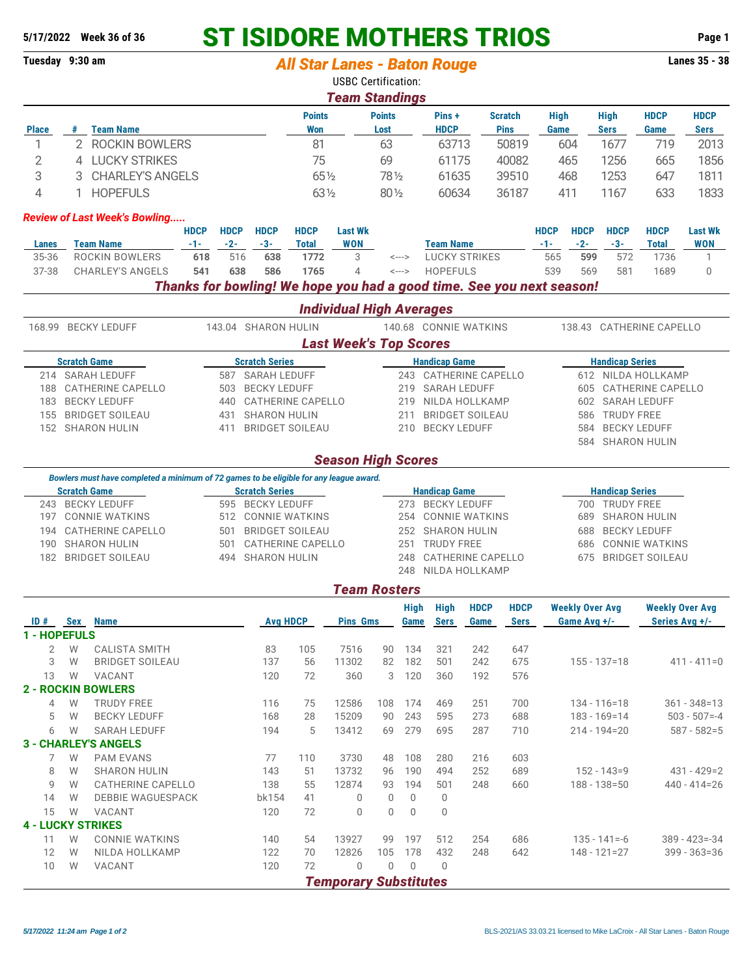## **5/17/2022 Week 36 of 36 ST ISIDORE MOTHERS TRIOS Page 1**

|                                                             | Tuesday 9:30 am                                      |             | <b>All Star Lanes - Baton Rouge</b> |                     |                          |                          |                                 |                                                                       |                            |                                 |             | <b>Lanes 35 - 38</b> |              |                |
|-------------------------------------------------------------|------------------------------------------------------|-------------|-------------------------------------|---------------------|--------------------------|--------------------------|---------------------------------|-----------------------------------------------------------------------|----------------------------|---------------------------------|-------------|----------------------|--------------|----------------|
|                                                             |                                                      |             |                                     |                     |                          |                          | <b>USBC Certification:</b>      |                                                                       |                            |                                 |             |                      |              |                |
|                                                             |                                                      |             |                                     |                     |                          |                          | <b>Team Standings</b>           |                                                                       |                            |                                 |             |                      |              |                |
|                                                             |                                                      |             |                                     |                     | <b>Points</b>            |                          | <b>Points</b>                   | Pins +                                                                | <b>Scratch</b>             | <b>High</b>                     |             | <b>High</b>          | <b>HDCP</b>  | <b>HDCP</b>    |
| <b>Place</b>                                                | <b>Team Name</b><br>#                                |             |                                     |                     | <b>Won</b>               |                          | Lost                            | <b>HDCP</b>                                                           | <b>Pins</b>                | Game                            |             | <b>Sers</b>          | Game         | <b>Sers</b>    |
| 1                                                           | <b>ROCKIN BOWLERS</b>                                |             |                                     | 81                  |                          |                          | 63                              | 63713                                                                 | 50819                      |                                 | 604         | 1677                 | 719          | 2013           |
| $\overline{2}$                                              | 4 LUCKY STRIKES                                      |             | 75                                  |                     | 69                       | 61175<br>40082           |                                 |                                                                       | 465                        |                                 | 665         | 1856                 |              |                |
| 3                                                           | <b>CHARLEY'S ANGELS</b><br>3.                        |             | 651/2                               |                     | 781/2                    | 61635                    | 39510                           | 468                                                                   |                            | 1253                            | 647         | 1811                 |              |                |
| 4                                                           | <b>HOPEFULS</b>                                      |             |                                     |                     | $63\frac{1}{2}$          |                          | 80 1/2                          | 60634                                                                 | 36187                      |                                 | 411         | 1167                 | 633          | 1833           |
|                                                             | <b>Review of Last Week's Bowling</b>                 |             |                                     |                     |                          |                          |                                 |                                                                       |                            |                                 |             |                      |              |                |
|                                                             |                                                      | <b>HDCP</b> | <b>HDCP</b>                         | <b>HDCP</b>         | <b>HDCP</b>              | <b>Last Wk</b>           |                                 |                                                                       |                            | <b>HDCP</b>                     | <b>HDCP</b> | <b>HDCP</b>          | <b>HDCP</b>  | <b>Last Wk</b> |
| Lanes                                                       | <b>Team Name</b>                                     | $-1-$       | $-2-$                               | $-3-$               | <b>Total</b>             | <b>WON</b>               |                                 | <b>Team Name</b>                                                      |                            | $-1-$                           | $-2-$       | $-3-$                | <b>Total</b> | <b>WON</b>     |
| 35-36                                                       | <b>ROCKIN BOWLERS</b>                                | 618         | 516                                 | 638                 | 1772                     | 3                        | $\leftarrow$ --->               | <b>LUCKY STRIKES</b>                                                  |                            | 565                             | 599         | 572                  | 1736         | 1              |
| 37-38                                                       | <b>CHARLEY'S ANGELS</b>                              | 541         | 638                                 | 586                 | 1765                     | 4                        | $\leftarrow$ $\rightarrow$      | <b>HOPEFULS</b>                                                       |                            | 539                             | 569         | 581                  | 1689         | $\mathbf{0}$   |
|                                                             |                                                      |             |                                     |                     |                          |                          |                                 | Thanks for bowling! We hope you had a good time. See you next season! |                            |                                 |             |                      |              |                |
|                                                             |                                                      |             |                                     |                     |                          |                          | <b>Individual High Averages</b> |                                                                       |                            |                                 |             |                      |              |                |
|                                                             | <b>BECKY LEDUFF</b><br>143.04 SHARON HULIN<br>168.99 |             |                                     |                     | 140.68 CONNIE WATKINS    |                          |                                 |                                                                       | 138.43 CATHERINE CAPELLO   |                                 |             |                      |              |                |
|                                                             |                                                      |             |                                     |                     |                          |                          | <b>Last Week's Top Scores</b>   |                                                                       |                            |                                 |             |                      |              |                |
| <b>Scratch Game</b><br><b>Scratch Series</b>                |                                                      |             | <b>Handicap Game</b>                |                     |                          |                          | <b>Handicap Series</b>          |                                                                       |                            |                                 |             |                      |              |                |
| 214                                                         | <b>SARAH LEDUFF</b>                                  |             | 587                                 | <b>SARAH LEDUFF</b> |                          |                          | 243                             | CATHERINE CAPELLO                                                     |                            | 612 NILDA HOLLKAMP              |             |                      |              |                |
| 188                                                         | <b>CATHERINE CAPELLO</b>                             |             | 503                                 | <b>BECKY LEDUFF</b> |                          |                          | 219                             | <b>SARAH LEDUFF</b>                                                   |                            | <b>CATHERINE CAPELLO</b><br>605 |             |                      |              |                |
| 183                                                         | <b>BECKY LEDUFF</b>                                  |             | 440                                 |                     | CATHERINE CAPELLO<br>219 |                          | NILDA HOLLKAMP                  |                                                                       | <b>SARAH LEDUFF</b><br>602 |                                 |             |                      |              |                |
| <b>BRIDGET SOILEAU</b><br><b>SHARON HULIN</b><br>155<br>431 |                                                      |             |                                     |                     | <b>BRIDGET SOILEAU</b>   | <b>TRUDY FREE</b><br>586 |                                 |                                                                       |                            |                                 |             |                      |              |                |

## *Season High Scores*

155 BRIDGET SOILEAU 431 SHARON HULIN 211 BRIDGET SOILEAU 586 TRUDY FREE

411 BRIDGET SOILEAU

| Bowlers must have completed a minimum of 72 games to be eligible for any league award. |                       |     |                       |     |                       |                        |                     |  |  |  |
|----------------------------------------------------------------------------------------|-----------------------|-----|-----------------------|-----|-----------------------|------------------------|---------------------|--|--|--|
| <b>Scratch Game</b>                                                                    |                       |     | <b>Scratch Series</b> |     | <b>Handicap Game</b>  | <b>Handicap Series</b> |                     |  |  |  |
|                                                                                        | 243 BECKY LEDUFF      |     | 595 BECKY LEDUFF      | 273 | <b>BECKY LEDUFF</b>   | 700                    | <b>TRUDY FREE</b>   |  |  |  |
|                                                                                        | 197 CONNIE WATKINS    |     | 512 CONNIE WATKINS    |     | 254 CONNIE WATKINS    |                        | 689 SHARON HULIN    |  |  |  |
|                                                                                        | 194 CATHERINE CAPELLO | 501 | BRIDGET SOILEAU       |     | 252 SHARON HULIN      |                        | 688 BECKY LEDUFF    |  |  |  |
|                                                                                        | 190 SHARON HULIN      |     | 501 CATHERINE CAPELLO | 251 | <b>TRUDY FREE</b>     |                        | 686 CONNIE WATKINS  |  |  |  |
|                                                                                        | 182 BRIDGET SOILEAU   |     | 494 SHARON HULIN      |     | 248 CATHERINE CAPELLO |                        | 675 BRIDGET SOILEAU |  |  |  |
|                                                                                        |                       |     |                       | 248 | NILDA HOLLKAMP        |                        |                     |  |  |  |

|                          |            |                             |                 |     | <b>Team Rosters</b>          |          |              |                            |                     |                            |                                        |                                          |
|--------------------------|------------|-----------------------------|-----------------|-----|------------------------------|----------|--------------|----------------------------|---------------------|----------------------------|----------------------------------------|------------------------------------------|
| ID#                      | <b>Sex</b> | <b>Name</b>                 | <b>Avg HDCP</b> |     | <b>Pins Gms</b>              |          | High<br>Game | <b>High</b><br><b>Sers</b> | <b>HDCP</b><br>Game | <b>HDCP</b><br><b>Sers</b> | <b>Weekly Over Avg</b><br>Game Avg +/- | <b>Weekly Over Avg</b><br>Series Avg +/- |
| 1 - HOPEFULS             |            |                             |                 |     |                              |          |              |                            |                     |                            |                                        |                                          |
| $\overline{2}$           | W          | <b>CALISTA SMITH</b>        | 83              | 105 | 7516                         | 90       | 134          | 321                        | 242                 | 647                        |                                        |                                          |
| 3                        | W          | <b>BRIDGET SOILEAU</b>      | 137             | 56  | 11302                        | 82       | 182          | 501                        | 242                 | 675                        | $155 - 137 = 18$                       | $411 - 411 = 0$                          |
| 13                       | W          | VACANT                      | 120             | 72  | 360                          | 3        | 120          | 360                        | 192                 | 576                        |                                        |                                          |
|                          |            | <b>2 - ROCKIN BOWLERS</b>   |                 |     |                              |          |              |                            |                     |                            |                                        |                                          |
| 4                        | W          | <b>TRUDY FREE</b>           | 116             | 75  | 12586                        | 108      | 174          | 469                        | 251                 | 700                        | $134 - 116 = 18$                       | $361 - 348 = 13$                         |
| 5                        | W          | <b>BECKY LEDUFF</b>         | 168             | 28  | 15209                        | 90       | 243          | 595                        | 273                 | 688                        | $183 - 169 = 14$                       | $503 - 507 = -4$                         |
| 6                        | W          | <b>SARAH LEDUFF</b>         | 194             | 5   | 13412                        | 69       | 279          | 695                        | 287                 | 710                        | $214 - 194 = 20$                       | $587 - 582 = 5$                          |
|                          |            | <b>3 - CHARLEY'S ANGELS</b> |                 |     |                              |          |              |                            |                     |                            |                                        |                                          |
| 7                        | W          | <b>PAM EVANS</b>            | 77              | 110 | 3730                         | 48       | 108          | 280                        | 216                 | 603                        |                                        |                                          |
| 8                        | W          | <b>SHARON HULIN</b>         | 143             | 51  | 13732                        | 96       | 190          | 494                        | 252                 | 689                        | $152 - 143 = 9$                        | $431 - 429 = 2$                          |
| 9                        | W          | <b>CATHERINE CAPELLO</b>    | 138             | 55  | 12874                        | 93       | 194          | 501                        | 248                 | 660                        | $188 - 138 = 50$                       | $440 - 414 = 26$                         |
| 14                       | W          | <b>DEBBIE WAGUESPACK</b>    | bk154           | 41  | $\Omega$                     | $\Omega$ | $\Omega$     | $\Omega$                   |                     |                            |                                        |                                          |
| 15                       | W          | VACANT                      | 120             | 72  | $\mathbf{0}$                 | 0        | 0            | $\mathbf 0$                |                     |                            |                                        |                                          |
| <b>4 - LUCKY STRIKES</b> |            |                             |                 |     |                              |          |              |                            |                     |                            |                                        |                                          |
| 11                       | W          | CONNIE WATKINS              | 140             | 54  | 13927                        | 99       | 197          | 512                        | 254                 | 686                        | $135 - 141 = -6$                       | $389 - 423 = -34$                        |
| 12                       | W          | NILDA HOLLKAMP              | 122             | 70  | 12826                        | 105      | 178          | 432                        | 248                 | 642                        | $148 - 121 = 27$                       | $399 - 363 = 36$                         |
| 10                       | W          | VACANT                      | 120             | 72  | $\Omega$                     | 0        | $\Omega$     | $\Omega$                   |                     |                            |                                        |                                          |
|                          |            |                             |                 |     | <b>Temporary Substitutes</b> |          |              |                            |                     |                            |                                        |                                          |

584 SHARON HULIN